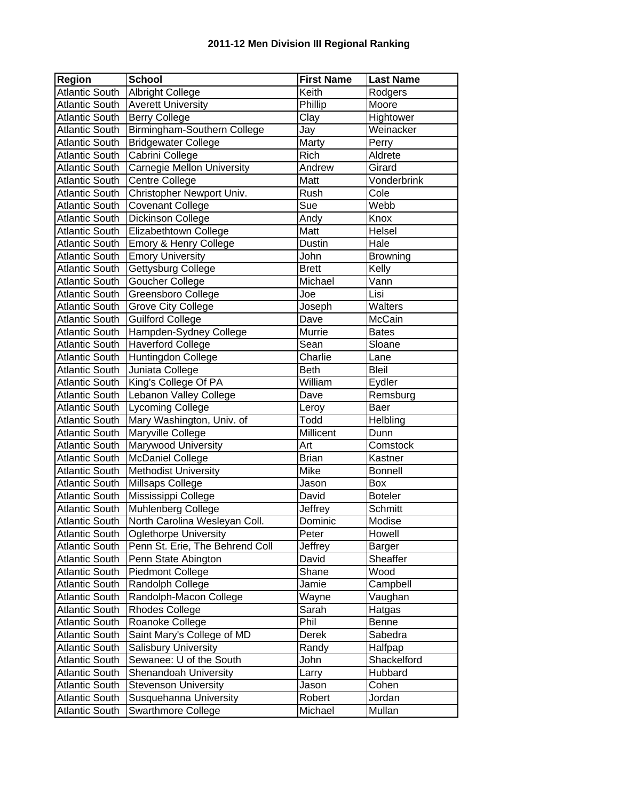| <b>Region</b>         | <b>School</b>                                  | <b>First Name</b> | <b>Last Name</b> |
|-----------------------|------------------------------------------------|-------------------|------------------|
| <b>Atlantic South</b> | Albright College                               | Keith             | Rodgers          |
| <b>Atlantic South</b> | <b>Averett University</b>                      | Phillip           | Moore            |
| <b>Atlantic South</b> | <b>Berry College</b>                           | Clay              | Hightower        |
| <b>Atlantic South</b> | Birmingham-Southern College                    | Jay               | Weinacker        |
| <b>Atlantic South</b> | <b>Bridgewater College</b>                     | Marty             | Perry            |
| <b>Atlantic South</b> | Cabrini College                                | Rich              | Aldrete          |
| <b>Atlantic South</b> | <b>Carnegie Mellon University</b>              | Andrew            | Girard           |
| <b>Atlantic South</b> | Centre College                                 | Matt              | Vonderbrink      |
| <b>Atlantic South</b> | Christopher Newport Univ.                      | Rush              | Cole             |
| <b>Atlantic South</b> | <b>Covenant College</b>                        | Sue               | Webb             |
| <b>Atlantic South</b> | Dickinson College                              | Andy              | Knox             |
| <b>Atlantic South</b> | Elizabethtown College                          | Matt              | Helsel           |
| <b>Atlantic South</b> | Emory & Henry College                          | Dustin            | Hale             |
| <b>Atlantic South</b> | <b>Emory University</b>                        | John              | <b>Browning</b>  |
| Atlantic South        | Gettysburg College                             | <b>Brett</b>      | Kelly            |
| <b>Atlantic South</b> | Goucher College                                | Michael           | Vann             |
| Atlantic South        | Greensboro College                             | Joe               | Lisi             |
| <b>Atlantic South</b> | <b>Grove City College</b>                      | Joseph            | Walters          |
| <b>Atlantic South</b> | <b>Guilford College</b>                        | Dave              | McCain           |
| Atlantic South        | Hampden-Sydney College                         | Murrie            | <b>Bates</b>     |
| Atlantic South        | <b>Haverford College</b>                       | Sean              | Sloane           |
| <b>Atlantic South</b> | Huntingdon College                             | Charlie           | Lane             |
| <b>Atlantic South</b> | Juniata College                                | <b>Beth</b>       | <b>Bleil</b>     |
| <b>Atlantic South</b> | King's College Of PA                           | William           | Eydler           |
| <b>Atlantic South</b> | Lebanon Valley College                         | Dave              | Remsburg         |
| <b>Atlantic South</b> | <b>Lycoming College</b>                        | Leroy             | Baer             |
| <b>Atlantic South</b> | Mary Washington, Univ. of                      | Todd              | Helbling         |
| <b>Atlantic South</b> | Maryville College                              | Millicent         | Dunn             |
| <b>Atlantic South</b> | Marywood University                            | Art               | Comstock         |
| <b>Atlantic South</b> | <b>McDaniel College</b>                        | <b>Brian</b>      | Kastner          |
| <b>Atlantic South</b> | <b>Methodist University</b>                    | Mike              | <b>Bonnell</b>   |
| Atlantic South        | Millsaps College                               | Jason             | Box              |
| <b>Atlantic South</b> | Mississippi College                            | David             | <b>Boteler</b>   |
| <b>Atlantic South</b> | Muhlenberg College                             | Jeffrey           | Schmitt          |
| <b>Atlantic South</b> | North Carolina Wesleyan Coll.                  | Dominic           | Modise           |
| <b>Atlantic South</b> | <b>Oglethorpe University</b>                   | Peter             | Howell           |
| <b>Atlantic South</b> | Penn St. Erie, The Behrend Coll                | Jeffrey           | Barger           |
| <b>Atlantic South</b> |                                                | David             | Sheaffer         |
| <b>Atlantic South</b> | Penn State Abington<br><b>Piedmont College</b> | Shane             | Wood             |
| <b>Atlantic South</b> |                                                |                   |                  |
| <b>Atlantic South</b> | Randolph College                               | Jamie             | Campbell         |
|                       | Randolph-Macon College                         | Wayne             | Vaughan          |
| <b>Atlantic South</b> | <b>Rhodes College</b>                          | Sarah             | Hatgas           |
| <b>Atlantic South</b> | Roanoke College                                | Phil              | <b>Benne</b>     |
| <b>Atlantic South</b> | Saint Mary's College of MD                     | Derek             | Sabedra          |
| <b>Atlantic South</b> | Salisbury University                           | Randy             | Halfpap          |
| <b>Atlantic South</b> | Sewanee: U of the South                        | John              | Shackelford      |
| <b>Atlantic South</b> | Shenandoah University                          | Larry             | Hubbard          |
| <b>Atlantic South</b> | <b>Stevenson University</b>                    | Jason             | Cohen            |
| <b>Atlantic South</b> | Susquehanna University                         | Robert            | Jordan           |
| <b>Atlantic South</b> | Swarthmore College                             | Michael           | Mullan           |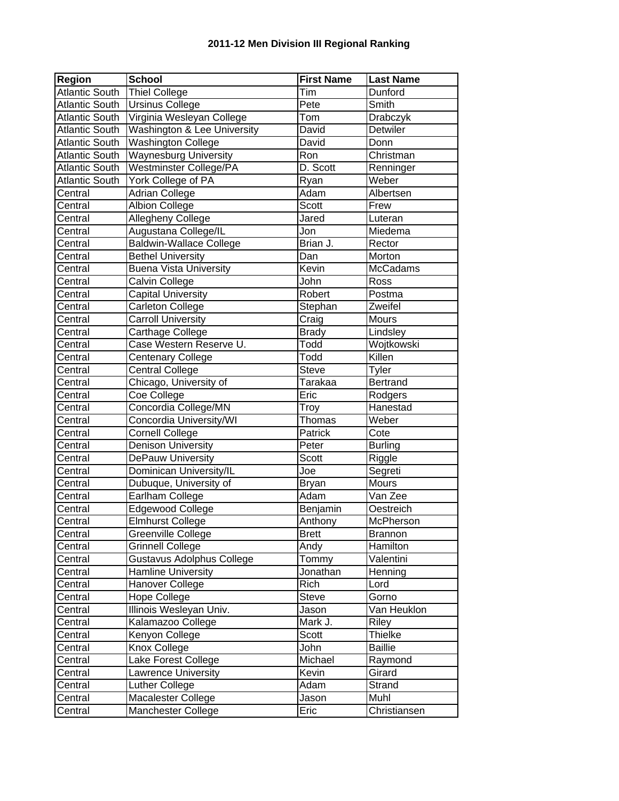| Region                | <b>School</b>                  | <b>First Name</b> | <b>Last Name</b> |
|-----------------------|--------------------------------|-------------------|------------------|
| <b>Atlantic South</b> | Thiel College                  | Tim               | Dunford          |
| <b>Atlantic South</b> | <b>Ursinus College</b>         | Pete              | Smith            |
| Atlantic South        | Virginia Wesleyan College      | Tom               | Drabczyk         |
| <b>Atlantic South</b> | Washington & Lee University    | David             | Detwiler         |
| <b>Atlantic South</b> | <b>Washington College</b>      | David             | Donn             |
| <b>Atlantic South</b> | <b>Waynesburg University</b>   | Ron               | Christman        |
| <b>Atlantic South</b> | <b>Westminster College/PA</b>  | D. Scott          | Renninger        |
| <b>Atlantic South</b> | York College of PA             | Ryan              | Weber            |
| Central               | <b>Adrian College</b>          | Adam              | Albertsen        |
| Central               | <b>Albion College</b>          | <b>Scott</b>      | Frew             |
| Central               | Allegheny College              | Jared             | Luteran          |
| Central               | Augustana College/IL           | Jon               | Miedema          |
| Central               | <b>Baldwin-Wallace College</b> | Brian J.          | Rector           |
| Central               | <b>Bethel University</b>       | Dan               | Morton           |
| Central               | <b>Buena Vista University</b>  | Kevin             | <b>McCadams</b>  |
| Central               | Calvin College                 | John              | Ross             |
| Central               | <b>Capital University</b>      | Robert            | Postma           |
| Central               | Carleton College               | Stephan           | Zweifel          |
| Central               | <b>Carroll University</b>      | Craig             | Mours            |
| Central               | Carthage College               | <b>Brady</b>      | Lindsley         |
| Central               | Case Western Reserve U.        | Todd              | Wojtkowski       |
| Central               | <b>Centenary College</b>       | Todd              | Killen           |
| Central               | <b>Central College</b>         | <b>Steve</b>      | Tyler            |
| Central               | Chicago, University of         | Tarakaa           | <b>Bertrand</b>  |
| Central               | Coe College                    | Eric              | Rodgers          |
| Central               | Concordia College/MN           | Troy              | Hanestad         |
| Central               | Concordia University/WI        | Thomas            | Weber            |
| Central               | <b>Cornell College</b>         | Patrick           | Cote             |
| Central               | <b>Denison University</b>      | Peter             | <b>Burling</b>   |
| Central               | DePauw University              | Scott             | Riggle           |
| Central               | Dominican University/IL        | Joe               | Segreti          |
| Central               | Dubuque, University of         | <b>Bryan</b>      | <b>Mours</b>     |
| Central               | Earlham College                | Adam              | Van Zee          |
| Central               | <b>Edgewood College</b>        | Benjamin          | Oestreich        |
| Central               | <b>Elmhurst College</b>        | Anthony           | McPherson        |
| Central               | Greenville College             | <b>Brett</b>      | <b>Brannon</b>   |
| Central               | <b>Grinnell College</b>        | Andy              | Hamilton         |
| Central               | Gustavus Adolphus College      | Tommy             | Valentini        |
| Central               | Hamline University             | Jonathan          | Henning          |
| Central               | Hanover College                | Rich              | Lord             |
| Central               | <b>Hope College</b>            | <b>Steve</b>      | Gorno            |
| Central               | Illinois Wesleyan Univ.        | Jason             | Van Heuklon      |
| Central               | Kalamazoo College              | Mark J.           | Riley            |
| Central               | Kenyon College                 | Scott             | <b>Thielke</b>   |
| Central               | Knox College                   | John              | <b>Baillie</b>   |
| Central               | Lake Forest College            | Michael           | Raymond          |
| Central               | Lawrence University            | Kevin             | Girard           |
| Central               | Luther College                 | Adam              | Strand           |
| Central               | Macalester College             | Jason             | Muhl             |
| Central               | Manchester College             | Eric              | Christiansen     |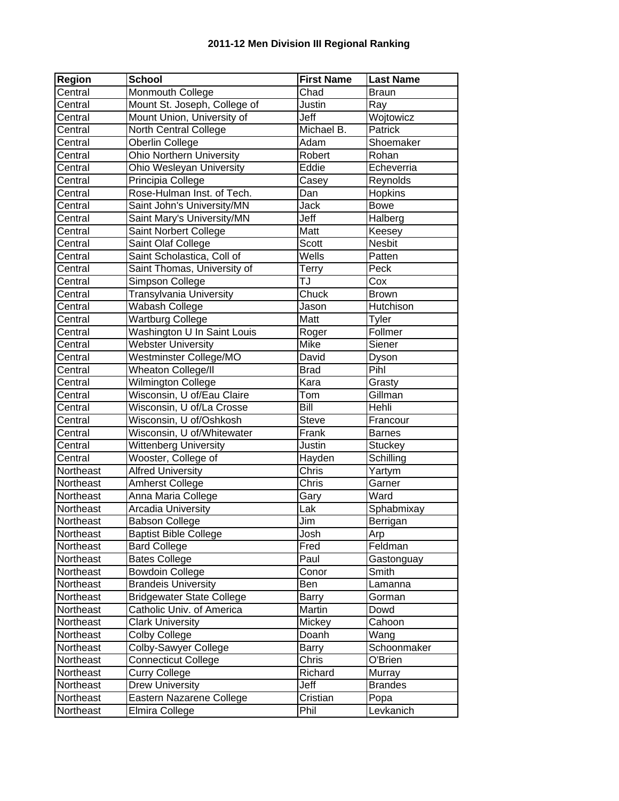## **2011-12 Men Division III Regional Ranking**

| Region    | <b>School</b>                    | <b>First Name</b> | <b>Last Name</b> |
|-----------|----------------------------------|-------------------|------------------|
| Central   | Monmouth College                 | Chad              | <b>Braun</b>     |
| Central   | Mount St. Joseph, College of     | Justin            | Ray              |
| Central   | Mount Union, University of       | Jeff              | Wojtowicz        |
| Central   | North Central College            | Michael B.        | Patrick          |
| Central   | Oberlin College                  | Adam              | Shoemaker        |
| Central   | <b>Ohio Northern University</b>  | Robert            | Rohan            |
| Central   | Ohio Wesleyan University         | Eddie             | Echeverria       |
| Central   | Principia College                | Casey             | Reynolds         |
| Central   | Rose-Hulman Inst. of Tech.       | Dan               | Hopkins          |
| Central   | Saint John's University/MN       | Jack              | <b>Bowe</b>      |
| Central   | Saint Mary's University/MN       | Jeff              | Halberg          |
| Central   | Saint Norbert College            | Matt              | Keesey           |
| Central   | Saint Olaf College               | <b>Scott</b>      | <b>Nesbit</b>    |
| Central   | Saint Scholastica, Coll of       | Wells             | Patten           |
| Central   | Saint Thomas, University of      | <b>Terry</b>      | Peck             |
| Central   | Simpson College                  | TJ                | Cox              |
| Central   | <b>Transylvania University</b>   | Chuck             | <b>Brown</b>     |
| Central   | Wabash College                   | Jason             | Hutchison        |
| Central   | <b>Wartburg College</b>          | Matt              | Tyler            |
| Central   | Washington U In Saint Louis      | Roger             | Follmer          |
| Central   | <b>Webster University</b>        | <b>Mike</b>       | Siener           |
| Central   | Westminster College/MO           | David             | Dyson            |
| Central   | Wheaton College/II               | <b>Brad</b>       | Pihl             |
| Central   | <b>Wilmington College</b>        | Kara              | Grasty           |
| Central   | Wisconsin, U of/Eau Claire       | Tom               | Gillman          |
| Central   | Wisconsin, U of/La Crosse        | Bill              | Hehli            |
| Central   | Wisconsin, U of/Oshkosh          | <b>Steve</b>      | Francour         |
| Central   | Wisconsin, U of/Whitewater       | Frank             | <b>Barnes</b>    |
| Central   | Wittenberg University            | Justin            | <b>Stuckey</b>   |
| Central   | Wooster, College of              | Hayden            | Schilling        |
| Northeast | <b>Alfred University</b>         | Chris             | Yartym           |
| Northeast | <b>Amherst College</b>           | <b>Chris</b>      | Garner           |
| Northeast | Anna Maria College               | Gary              | Ward             |
| Northeast | Arcadia University               | Lak               | Sphabmixay       |
| Northeast | <b>Babson College</b>            | Jim               | Berrigan         |
| Northeast | <b>Baptist Bible College</b>     | Josh              | Arp              |
| Northeast | <b>Bard College</b>              | Fred              | Feldman          |
| Northeast | <b>Bates College</b>             | Paul              | Gastonguay       |
| Northeast | <b>Bowdoin College</b>           | Conor             | Smith            |
| Northeast | <b>Brandeis University</b>       | Ben               | Lamanna          |
| Northeast | <b>Bridgewater State College</b> | <b>Barry</b>      | Gorman           |
| Northeast | Catholic Univ. of America        | Martin            | Dowd             |
| Northeast | <b>Clark University</b>          | Mickey            | Cahoon           |
| Northeast | <b>Colby College</b>             | Doanh             | Wang             |
| Northeast | <b>Colby-Sawyer College</b>      | <b>Barry</b>      | Schoonmaker      |
| Northeast | <b>Connecticut College</b>       | Chris             | O'Brien          |
| Northeast | <b>Curry College</b>             | Richard           | Murray           |
| Northeast | <b>Drew University</b>           | Jeff              | <b>Brandes</b>   |
| Northeast | Eastern Nazarene College         | Cristian          | Popa             |
| Northeast | Elmira College                   | Phil              | Levkanich        |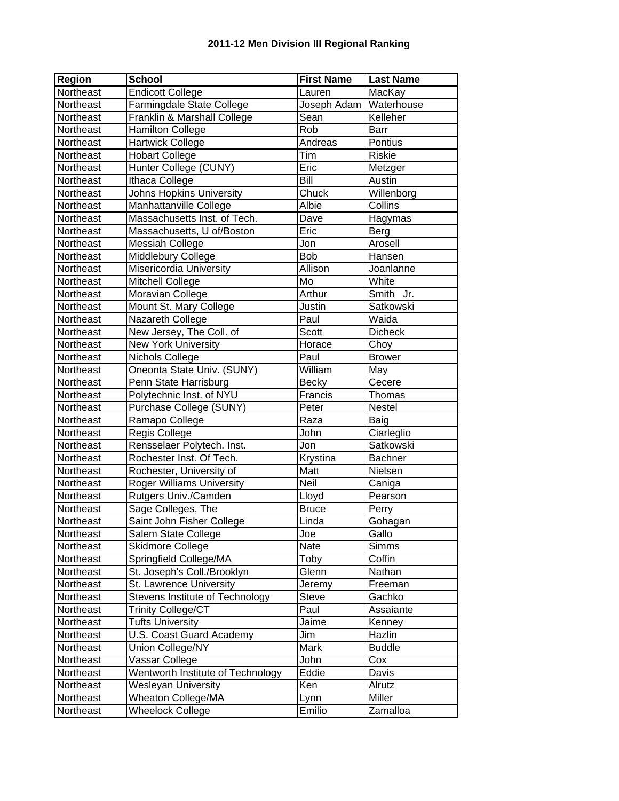## **2011-12 Men Division III Regional Ranking**

| <b>Region</b> | <b>School</b>                     | <b>First Name</b> | <b>Last Name</b> |
|---------------|-----------------------------------|-------------------|------------------|
| Northeast     | <b>Endicott College</b>           | Lauren            | MacKay           |
| Northeast     | Farmingdale State College         | Joseph Adam       | Waterhouse       |
| Northeast     | Franklin & Marshall College       | Sean              | Kelleher         |
| Northeast     | Hamilton College                  | Rob               | <b>Barr</b>      |
| Northeast     | <b>Hartwick College</b>           | Andreas           | Pontius          |
| Northeast     | <b>Hobart College</b>             | Tim               | <b>Riskie</b>    |
| Northeast     | Hunter College (CUNY)             | Fric              | Metzger          |
| Northeast     | Ithaca College                    | Bill              | Austin           |
| Northeast     | <b>Johns Hopkins University</b>   | Chuck             | Willenborg       |
| Northeast     | Manhattanville College            | Albie             | Collins          |
| Northeast     | Massachusetts Inst. of Tech.      | Dave              | Hagymas          |
| Northeast     | Massachusetts, U of/Boston        | Eric              | Berg             |
| Northeast     | <b>Messiah College</b>            | Jon               | Arosell          |
| Northeast     | Middlebury College                | <b>Bob</b>        | Hansen           |
| Northeast     | Misericordia University           | Allison           | Joanlanne        |
| Northeast     | Mitchell College                  | Mo                | White            |
| Northeast     | Moravian College                  | Arthur            | Smith<br>Jr.     |
| Northeast     | Mount St. Mary College            | Justin            | Satkowski        |
| Northeast     | Nazareth College                  | Paul              | Waida            |
| Northeast     | New Jersey, The Coll. of          | <b>Scott</b>      | <b>Dicheck</b>   |
| Northeast     | <b>New York University</b>        | Horace            | Choy             |
| Northeast     | Nichols College                   | Paul              | <b>Brower</b>    |
| Northeast     | Oneonta State Univ. (SUNY)        | William           | May              |
| Northeast     | Penn State Harrisburg             | <b>Becky</b>      | Cecere           |
| Northeast     | Polytechnic Inst. of NYU          | Francis           | Thomas           |
| Northeast     | Purchase College (SUNY)           | Peter             | Nestel           |
| Northeast     | Ramapo College                    | Raza              | Baig             |
| Northeast     | Regis College                     | John              | Ciarleglio       |
| Northeast     | Rensselaer Polytech. Inst.        | Jon               | Satkowski        |
| Northeast     | Rochester Inst. Of Tech.          | Krystina          | Bachner          |
| Northeast     | Rochester, University of          | Matt              | Nielsen          |
| Northeast     | <b>Roger Williams University</b>  | Neil              | Caniga           |
| Northeast     | Rutgers Univ./Camden              | Lloyd             | Pearson          |
| Northeast     | Sage Colleges, The                | <b>Bruce</b>      | Perry            |
| Northeast     | Saint John Fisher College         | Linda             | Gohagan          |
| Northeast     | Salem State College               | Joe               | Gallo            |
| Northeast     | Skidmore College                  | Nate              | <b>Simms</b>     |
| Northeast     | Springfield College/MA            | Toby              | Coffin           |
| Northeast     | St. Joseph's Coll./Brooklyn       | Glenn             | Nathan           |
| Northeast     | St. Lawrence University           | Jeremy            | Freeman          |
| Northeast     | Stevens Institute of Technology   | Steve             | Gachko           |
| Northeast     | <b>Trinity College/CT</b>         | Paul              | Assaiante        |
| Northeast     | <b>Tufts University</b>           | Jaime             | Kenney           |
| Northeast     | U.S. Coast Guard Academy          | Jim               | Hazlin           |
| Northeast     | Union College/NY                  | Mark              | <b>Buddle</b>    |
| Northeast     | Vassar College                    | John              | Cox              |
| Northeast     | Wentworth Institute of Technology | Eddie             | Davis            |
| Northeast     | Wesleyan University               | Ken               | Alrutz           |
| Northeast     | <b>Wheaton College/MA</b>         | Lynn              | Miller           |
| Northeast     | <b>Wheelock College</b>           | Emilio            | Zamalloa         |